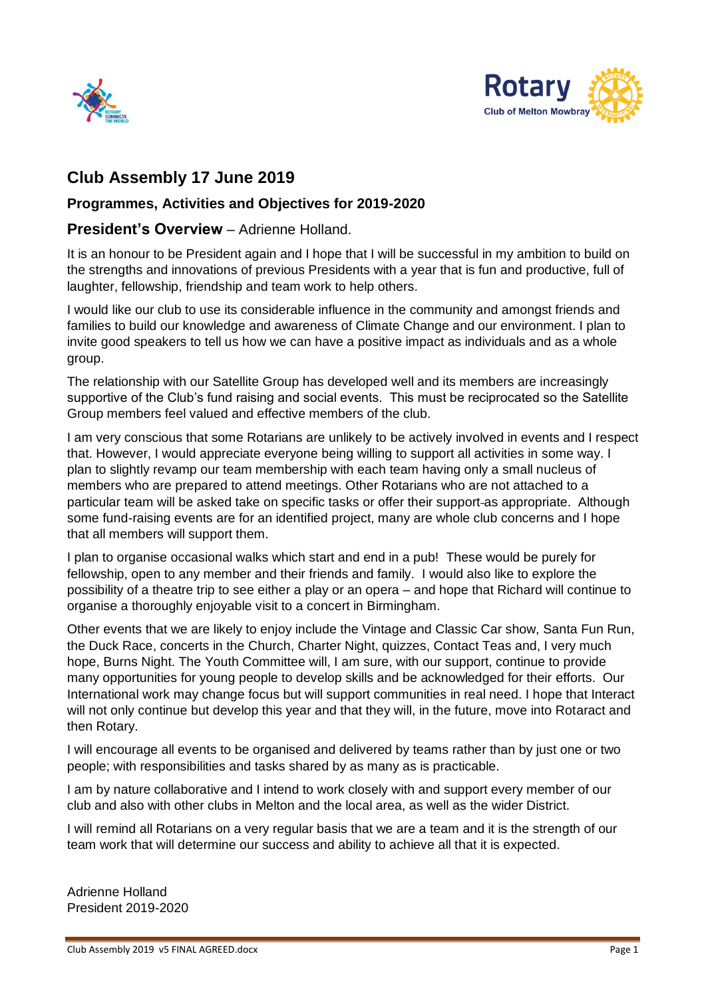



# **Club Assembly 17 June 2019**

### **Programmes, Activities and Objectives for 2019-2020**

### **President's Overview** – Adrienne Holland.

It is an honour to be President again and I hope that I will be successful in my ambition to build on the strengths and innovations of previous Presidents with a year that is fun and productive, full of laughter, fellowship, friendship and team work to help others.

I would like our club to use its considerable influence in the community and amongst friends and families to build our knowledge and awareness of Climate Change and our environment. I plan to invite good speakers to tell us how we can have a positive impact as individuals and as a whole group.

The relationship with our Satellite Group has developed well and its members are increasingly supportive of the Club's fund raising and social events. This must be reciprocated so the Satellite Group members feel valued and effective members of the club.

I am very conscious that some Rotarians are unlikely to be actively involved in events and I respect that. However, I would appreciate everyone being willing to support all activities in some way. I plan to slightly revamp our team membership with each team having only a small nucleus of members who are prepared to attend meetings. Other Rotarians who are not attached to a particular team will be asked take on specific tasks or offer their support-as appropriate. Although some fund-raising events are for an identified project, many are whole club concerns and I hope that all members will support them.

I plan to organise occasional walks which start and end in a pub! These would be purely for fellowship, open to any member and their friends and family. I would also like to explore the possibility of a theatre trip to see either a play or an opera – and hope that Richard will continue to organise a thoroughly enjoyable visit to a concert in Birmingham.

Other events that we are likely to enjoy include the Vintage and Classic Car show, Santa Fun Run, the Duck Race, concerts in the Church, Charter Night, quizzes, Contact Teas and, I very much hope, Burns Night. The Youth Committee will, I am sure, with our support, continue to provide many opportunities for young people to develop skills and be acknowledged for their efforts. Our International work may change focus but will support communities in real need. I hope that Interact will not only continue but develop this year and that they will, in the future, move into Rotaract and then Rotary.

I will encourage all events to be organised and delivered by teams rather than by just one or two people; with responsibilities and tasks shared by as many as is practicable.

I am by nature collaborative and I intend to work closely with and support every member of our club and also with other clubs in Melton and the local area, as well as the wider District.

I will remind all Rotarians on a very regular basis that we are a team and it is the strength of our team work that will determine our success and ability to achieve all that it is expected.

Adrienne Holland President 2019-2020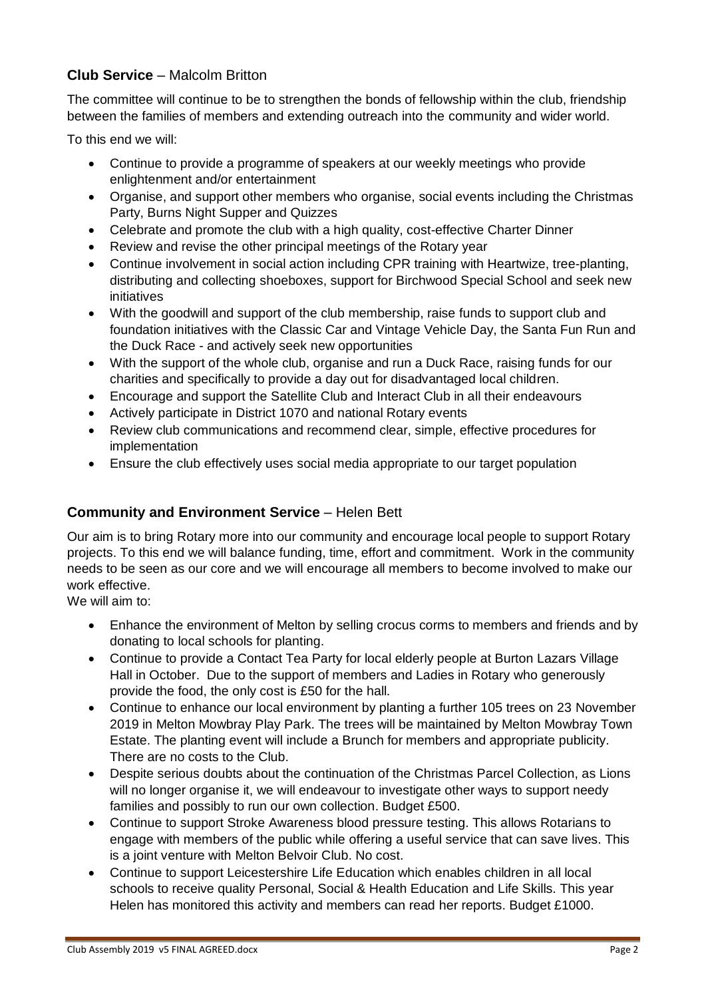# **Club Service** – Malcolm Britton

The committee will continue to be to strengthen the bonds of fellowship within the club, friendship between the families of members and extending outreach into the community and wider world.

To this end we will:

- Continue to provide a programme of speakers at our weekly meetings who provide enlightenment and/or entertainment
- Organise, and support other members who organise, social events including the Christmas Party, Burns Night Supper and Quizzes
- Celebrate and promote the club with a high quality, cost-effective Charter Dinner
- Review and revise the other principal meetings of the Rotary year
- Continue involvement in social action including CPR training with Heartwize, tree-planting, distributing and collecting shoeboxes, support for Birchwood Special School and seek new initiatives
- With the goodwill and support of the club membership, raise funds to support club and foundation initiatives with the Classic Car and Vintage Vehicle Day, the Santa Fun Run and the Duck Race - and actively seek new opportunities
- With the support of the whole club, organise and run a Duck Race, raising funds for our charities and specifically to provide a day out for disadvantaged local children.
- Encourage and support the Satellite Club and Interact Club in all their endeavours
- Actively participate in District 1070 and national Rotary events
- Review club communications and recommend clear, simple, effective procedures for implementation
- Ensure the club effectively uses social media appropriate to our target population

# **Community and Environment Service** – Helen Bett

Our aim is to bring Rotary more into our community and encourage local people to support Rotary projects. To this end we will balance funding, time, effort and commitment. Work in the community needs to be seen as our core and we will encourage all members to become involved to make our work effective.

We will aim to:

- Enhance the environment of Melton by selling crocus corms to members and friends and by donating to local schools for planting.
- Continue to provide a Contact Tea Party for local elderly people at Burton Lazars Village Hall in October. Due to the support of members and Ladies in Rotary who generously provide the food, the only cost is £50 for the hall.
- Continue to enhance our local environment by planting a further 105 trees on 23 November 2019 in Melton Mowbray Play Park. The trees will be maintained by Melton Mowbray Town Estate. The planting event will include a Brunch for members and appropriate publicity. There are no costs to the Club.
- Despite serious doubts about the continuation of the Christmas Parcel Collection, as Lions will no longer organise it, we will endeavour to investigate other ways to support needy families and possibly to run our own collection. Budget £500.
- Continue to support Stroke Awareness blood pressure testing. This allows Rotarians to engage with members of the public while offering a useful service that can save lives. This is a joint venture with Melton Belvoir Club. No cost.
- Continue to support Leicestershire Life Education which enables children in all local schools to receive quality Personal, Social & Health Education and Life Skills. This year Helen has monitored this activity and members can read her reports. Budget £1000.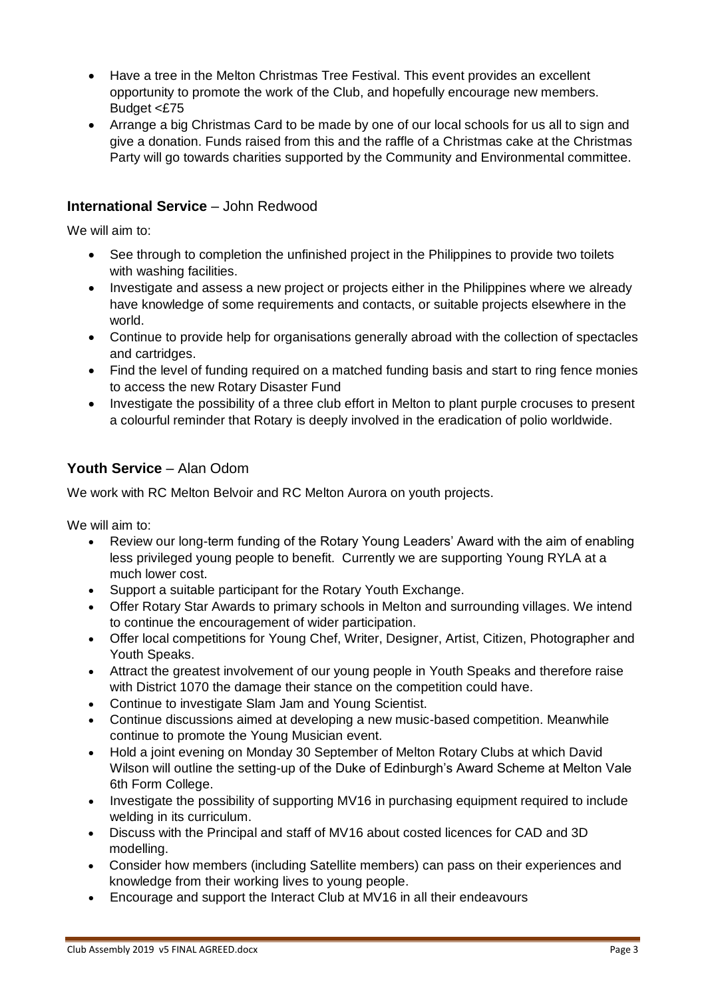- Have a tree in the Melton Christmas Tree Festival. This event provides an excellent opportunity to promote the work of the Club, and hopefully encourage new members. Budget <£75
- Arrange a big Christmas Card to be made by one of our local schools for us all to sign and give a donation. Funds raised from this and the raffle of a Christmas cake at the Christmas Party will go towards charities supported by the Community and Environmental committee.

## **International Service** – John Redwood

We will aim to:

- See through to completion the unfinished project in the Philippines to provide two toilets with washing facilities.
- Investigate and assess a new project or projects either in the Philippines where we already have knowledge of some requirements and contacts, or suitable projects elsewhere in the world.
- Continue to provide help for organisations generally abroad with the collection of spectacles and cartridges.
- Find the level of funding required on a matched funding basis and start to ring fence monies to access the new Rotary Disaster Fund
- Investigate the possibility of a three club effort in Melton to plant purple crocuses to present a colourful reminder that Rotary is deeply involved in the eradication of polio worldwide.

# **Youth Service** – Alan Odom

We work with RC Melton Belvoir and RC Melton Aurora on youth projects.

We will aim to:

- Review our long-term funding of the Rotary Young Leaders' Award with the aim of enabling less privileged young people to benefit. Currently we are supporting Young RYLA at a much lower cost.
- Support a suitable participant for the Rotary Youth Exchange.
- Offer Rotary Star Awards to primary schools in Melton and surrounding villages. We intend to continue the encouragement of wider participation.
- Offer local competitions for Young Chef, Writer, Designer, Artist, Citizen, Photographer and Youth Speaks.
- Attract the greatest involvement of our young people in Youth Speaks and therefore raise with District 1070 the damage their stance on the competition could have.
- Continue to investigate Slam Jam and Young Scientist.
- Continue discussions aimed at developing a new music-based competition. Meanwhile continue to promote the Young Musician event.
- Hold a joint evening on Monday 30 September of Melton Rotary Clubs at which David Wilson will outline the setting-up of the Duke of Edinburgh's Award Scheme at Melton Vale 6th Form College.
- Investigate the possibility of supporting MV16 in purchasing equipment required to include welding in its curriculum.
- Discuss with the Principal and staff of MV16 about costed licences for CAD and 3D modelling.
- Consider how members (including Satellite members) can pass on their experiences and knowledge from their working lives to young people.
- Encourage and support the Interact Club at MV16 in all their endeavours